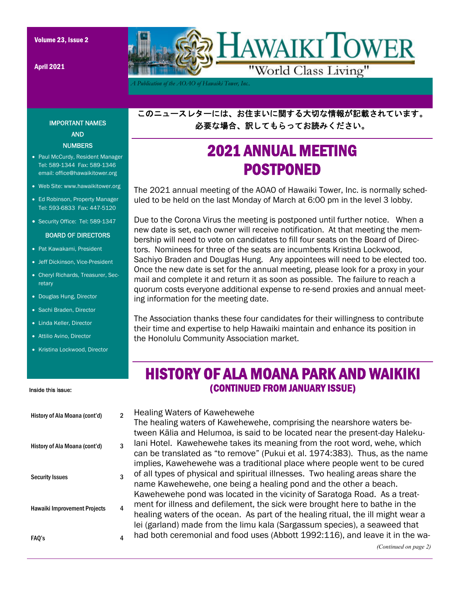April 2021



*A Publication of the AOAO of Hawaiki Tower, Inc..* 

このニュースレターには、お住まいに関する大切な情報が記載されています。 必要な場合、訳してもらってお読みください。

# 2021 ANNUAL MEETING POSTPONED

The 2021 annual meeting of the AOAO of Hawaiki Tower, Inc. is normally scheduled to be held on the last Monday of March at 6:00 pm in the level 3 lobby.

Due to the Corona Virus the meeting is postponed until further notice. When a new date is set, each owner will receive notification. At that meeting the membership will need to vote on candidates to fill four seats on the Board of Directors. Nominees for three of the seats are incumbents Kristina Lockwood, Sachiyo Braden and Douglas Hung. Any appointees will need to be elected too. Once the new date is set for the annual meeting, please look for a proxy in your mail and complete it and return it as soon as possible. The failure to reach a quorum costs everyone additional expense to re-send proxies and annual meeting information for the meeting date.

The Association thanks these four candidates for their willingness to contribute their time and expertise to help Hawaiki maintain and enhance its position in the Honolulu Community Association market.

### HISTORY OF ALA MOANA PARK AND WAIKIKI (CONTINUED FROM JANUARY ISSUE)

Healing Waters of Kawehewehe The healing waters of Kawehewehe, comprising the nearshore waters between Kālia and Helumoa, is said to be located near the present-day Halekulani Hotel. Kawehewehe takes its meaning from the root word, wehe, which can be translated as "to remove" (Pukui et al. 1974:383). Thus, as the name implies, Kawehewehe was a traditional place where people went to be cured of all types of physical and spiritual illnesses. Two healing areas share the name Kawehewehe, one being a healing pond and the other a beach. Kawehewehe pond was located in the vicinity of Saratoga Road. As a treatment for illness and defilement, the sick were brought here to bathe in the healing waters of the ocean. As part of the healing ritual, the ill might wear a lei (garland) made from the limu kala (Sargassum species), a seaweed that had both ceremonial and food uses (Abbott 1992:116), and leave it in the wa-

### IMPORTANT NAMES AND **NUMBERS**

- Paul McCurdy, Resident Manager Tel: 589-1344 Fax: 589-1346 email: office@hawaikitower.org
- Web Site: www.hawaikitower.org
- Ed Robinson, Property Manager Tel: 593-6833 Fax: 447-5120
- Security Office: Tel: 589-1347

#### BOARD OF DIRECTORS

- Pat Kawakami, President
- Jeff Dickinson, Vice-President
- Cheryl Richards, Treasurer, Secretary
- Douglas Hung, Director
- Sachi Braden, Director
- Linda Keller, Director
- Attilio Avino, Director
- Kristina Lockwood, Director

#### Inside this issue:

| History of Ala Moana (cont'd)       | 2 |
|-------------------------------------|---|
| History of Ala Moana (cont'd)       | 3 |
| <b>Security Issues</b>              | 3 |
| <b>Hawaiki Improvement Projects</b> | 4 |
| FAQ's                               | 4 |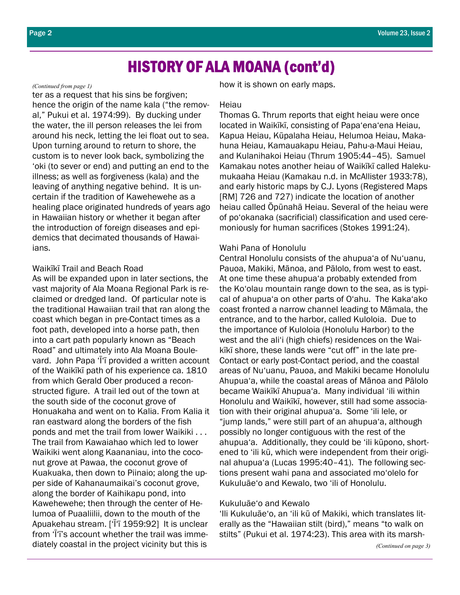## HISTORY OF ALA MOANA (cont'd)

#### *(Continued from page 1)*

ter as a request that his sins be forgiven; hence the origin of the name kala ("the removal," Pukui et al. 1974:99). By ducking under the water, the ill person releases the lei from around his neck, letting the lei float out to sea. Upon turning around to return to shore, the custom is to never look back, symbolizing the 'oki (to sever or end) and putting an end to the illness; as well as forgiveness (kala) and the leaving of anything negative behind. It is uncertain if the tradition of Kawehewehe as a healing place originated hundreds of years ago in Hawaiian history or whether it began after the introduction of foreign diseases and epidemics that decimated thousands of Hawaiians.

### Waikīkī Trail and Beach Road

As will be expanded upon in later sections, the vast majority of Ala Moana Regional Park is reclaimed or dredged land. Of particular note is the traditional Hawaiian trail that ran along the coast which began in pre-Contact times as a foot path, developed into a horse path, then into a cart path popularly known as "Beach Road" and ultimately into Ala Moana Boulevard. John Papa 'Ī'ī provided a written account of the Waikīkī path of his experience ca. 1810 from which Gerald Ober produced a reconstructed figure. A trail led out of the town at the south side of the coconut grove of Honuakaha and went on to Kalia. From Kalia it ran eastward along the borders of the fish ponds and met the trail from lower Waikiki . . . The trail from Kawaiahao which led to lower Waikiki went along Kaananiau, into the coconut grove at Pawaa, the coconut grove of Kuakuaka, then down to Piinaio; along the upper side of Kahanaumaikai's coconut grove, along the border of Kaihikapu pond, into Kawehewehe; then through the center of Helumoa of Puaaliilii, down to the mouth of the Apuakehau stream. ['Ī'ī 1959:92] It is unclear from 'Ī'ī's account whether the trail was immediately coastal in the project vicinity but this is

how it is shown on early maps.

#### Heiau

Thomas G. Thrum reports that eight heiau were once located in Waikīkī, consisting of Papa'ena'ena Heiau, Kapua Heiau, Kūpalaha Heiau, Helumoa Heiau, Makahuna Heiau, Kamauakapu Heiau, Pahu-a-Maui Heiau, and Kulanihakoi Heiau (Thrum 1905:44–45). Samuel Kamakau notes another heiau of Waikīkī called Halekumukaaha Heiau (Kamakau n.d. in McAllister 1933:78), and early historic maps by C.J. Lyons (Registered Maps [RM] 726 and 727) indicate the location of another heiau called Ōpūnahā Heiau. Several of the heiau were of po'okanaka (sacrificial) classification and used ceremoniously for human sacrifices (Stokes 1991:24).

### Wahi Pana of Honolulu

Central Honolulu consists of the ahupua'a of Nu'uanu, Pauoa, Makiki, Mānoa, and Pālolo, from west to east. At one time these ahupua'a probably extended from the Ko'olau mountain range down to the sea, as is typical of ahupua'a on other parts of O'ahu. The Kaka'ako coast fronted a narrow channel leading to Māmala, the entrance, and to the harbor, called Kuloloia. Due to the importance of Kuloloia (Honolulu Harbor) to the west and the ali'i (high chiefs) residences on the Waikīkī shore, these lands were "cut off" in the late pre-Contact or early post-Contact period, and the coastal areas of Nu'uanu, Pauoa, and Makiki became Honolulu Ahupua'a, while the coastal areas of Mānoa and Pālolo became Waikīkī Ahupua'a. Many individual 'ili within Honolulu and Waikīkī, however, still had some association with their original ahupua'a. Some 'ili lele, or "jump lands," were still part of an ahupua'a, although possibly no longer contiguous with the rest of the ahupua'a. Additionally, they could be 'ili kūpono, shortened to 'ili kū, which were independent from their original ahupua'a (Lucas 1995:40–41). The following sections present wahi pana and associated mo'olelo for Kukuluāe'o and Kewalo, two 'ili of Honolulu.

#### Kukuluāe'o and Kewalo

'Ili Kukuluāe'o, an 'ili kū of Makiki, which translates literally as the "Hawaiian stilt (bird)," means "to walk on stilts" (Pukui et al. 1974:23). This area with its marsh-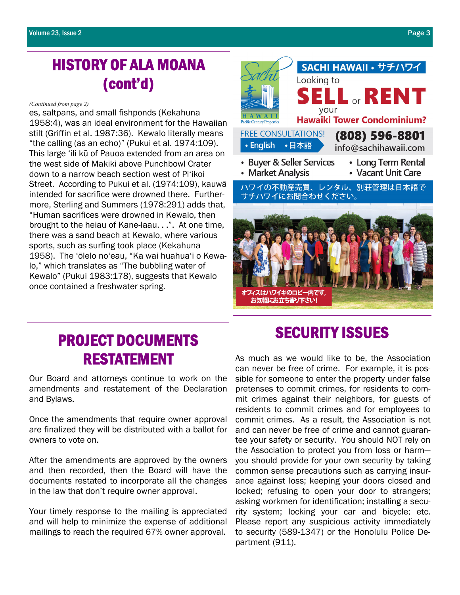# HISTORY OF ALA MOANA (cont'd)

#### *(Continued from page 2)*

es, saltpans, and small fishponds (Kekahuna 1958:4), was an ideal environment for the Hawaiian stilt (Griffin et al. 1987:36). Kewalo literally means "the calling (as an echo)" (Pukui et al. 1974:109). This large 'ili kū of Pauoa extended from an area on the west side of Makiki above Punchbowl Crater down to a narrow beach section west of Pi'ikoi Street. According to Pukui et al. (1974:109), kauwā intended for sacrifice were drowned there. Furthermore, Sterling and Summers (1978:291) adds that, "Human sacrifices were drowned in Kewalo, then brought to the heiau of Kane-laau. . .". At one time, there was a sand beach at Kewalo, where various sports, such as surfing took place (Kekahuna 1958). The 'ōlelo no'eau, "Ka wai huahua'i o Kewalo," which translates as "The bubbling water of Kewalo" (Pukui 1983:178), suggests that Kewalo once contained a freshwater spring.



# SECURITY ISSUES PROJECT DOCUMENTS RESTATEMENT

Our Board and attorneys continue to work on the amendments and restatement of the Declaration and Bylaws.

Once the amendments that require owner approval are finalized they will be distributed with a ballot for owners to vote on.

After the amendments are approved by the owners and then recorded, then the Board will have the documents restated to incorporate all the changes in the law that don't require owner approval.

Your timely response to the mailing is appreciated and will help to minimize the expense of additional mailings to reach the required 67% owner approval.

As much as we would like to be, the Association can never be free of crime. For example, it is possible for someone to enter the property under false pretenses to commit crimes, for residents to commit crimes against their neighbors, for guests of residents to commit crimes and for employees to commit crimes. As a result, the Association is not and can never be free of crime and cannot guarantee your safety or security. You should NOT rely on the Association to protect you from loss or harm you should provide for your own security by taking common sense precautions such as carrying insurance against loss; keeping your doors closed and locked; refusing to open your door to strangers; asking workmen for identification; installing a security system; locking your car and bicycle; etc. Please report any suspicious activity immediately to security (589-1347) or the Honolulu Police Department (911).